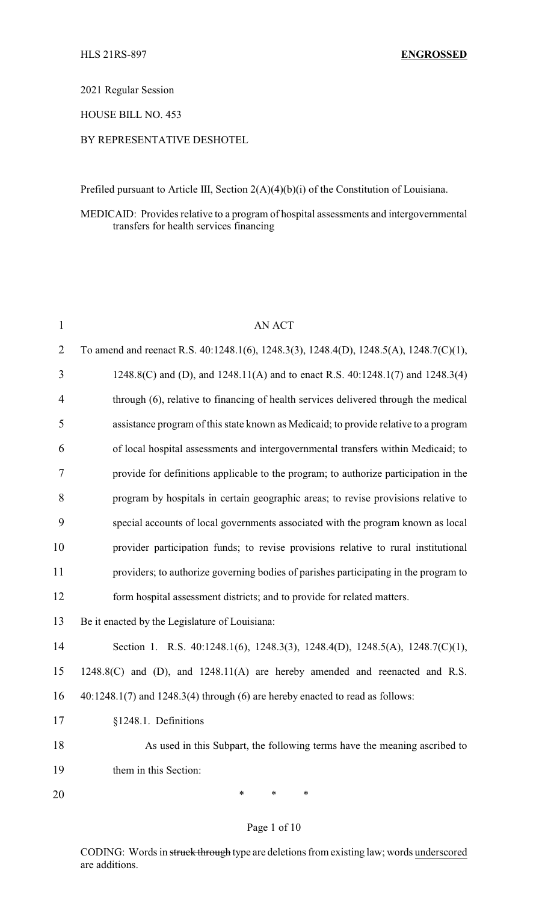2021 Regular Session

HOUSE BILL NO. 453

### BY REPRESENTATIVE DESHOTEL

Prefiled pursuant to Article III, Section 2(A)(4)(b)(i) of the Constitution of Louisiana.

### MEDICAID: Provides relative to a program of hospital assessments and intergovernmental transfers for health services financing

| $\mathbf{1}$ | <b>AN ACT</b>                                                                          |  |
|--------------|----------------------------------------------------------------------------------------|--|
| 2            | To amend and reenact R.S. 40:1248.1(6), 1248.3(3), 1248.4(D), 1248.5(A), 1248.7(C)(1), |  |
| 3            | 1248.8(C) and (D), and 1248.11(A) and to enact R.S. 40:1248.1(7) and 1248.3(4)         |  |
| 4            | through (6), relative to financing of health services delivered through the medical    |  |
| 5            | assistance program of this state known as Medicaid; to provide relative to a program   |  |
| 6            | of local hospital assessments and intergovernmental transfers within Medicaid; to      |  |
| 7            | provide for definitions applicable to the program; to authorize participation in the   |  |
| 8            | program by hospitals in certain geographic areas; to revise provisions relative to     |  |
| 9            | special accounts of local governments associated with the program known as local       |  |
| 10           | provider participation funds; to revise provisions relative to rural institutional     |  |
| 11           | providers; to authorize governing bodies of parishes participating in the program to   |  |
| 12           | form hospital assessment districts; and to provide for related matters.                |  |
| 13           | Be it enacted by the Legislature of Louisiana:                                         |  |
| 14           | Section 1. R.S. 40:1248.1(6), 1248.3(3), 1248.4(D), 1248.5(A), 1248.7(C)(1),           |  |
| 15           | $1248.8(C)$ and (D), and $1248.11(A)$ are hereby amended and reenacted and R.S.        |  |
| 16           | $40:1248.1(7)$ and $1248.3(4)$ through (6) are hereby enacted to read as follows:      |  |
| 17           | §1248.1. Definitions                                                                   |  |
| 18           | As used in this Subpart, the following terms have the meaning ascribed to              |  |
| 19           | them in this Section:                                                                  |  |
| 20           | ∗<br>*<br>∗                                                                            |  |

### Page 1 of 10

CODING: Words in struck through type are deletions from existing law; words underscored are additions.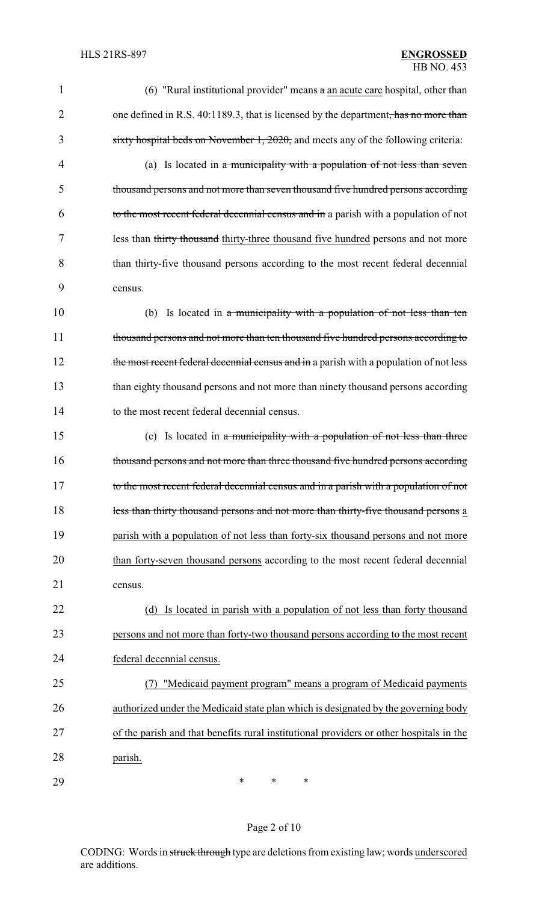| 1              | (6) "Rural institutional provider" means $\alpha$ an acute care hospital, other than    |
|----------------|-----------------------------------------------------------------------------------------|
| $\overline{2}$ | one defined in R.S. 40:1189.3, that is licensed by the department, has no more than     |
| 3              | sixty hospital beds on November 1, $2020$ , and meets any of the following criteria:    |
| 4              | (a) Is located in a municipality with a population of not less than seven               |
| 5              | thousand persons and not more than seven thousand five hundred persons according        |
| 6              | to the most recent federal decennial census and in a parish with a population of not    |
| 7              | less than thirty thousand thirty-three thousand five hundred persons and not more       |
| 8              | than thirty-five thousand persons according to the most recent federal decennial        |
| 9              | census.                                                                                 |
| 10             | (b) Is located in a municipality with a population of not less than ten                 |
| 11             | thousand persons and not more than ten thousand five hundred persons according to       |
| 12             | the most recent federal decennial census and in a parish with a population of not less  |
| 13             | than eighty thousand persons and not more than ninety thousand persons according        |
| 14             | to the most recent federal decennial census.                                            |
| 15             | (c) Is located in a municipality with a population of not less than three               |
| 16             | thousand persons and not more than three thousand five hundred persons according        |
| 17             | to the most recent federal decennial census and in a parish with a population of not    |
| 18             | less than thirty thousand persons and not more than thirty-five thousand persons a      |
| 19             | parish with a population of not less than forty-six thousand persons and not more       |
| 20             | than forty-seven thousand persons according to the most recent federal decennial        |
| 21             | census.                                                                                 |
| 22             | (d) Is located in parish with a population of not less than forty thousand              |
| 23             | persons and not more than forty-two thousand persons according to the most recent       |
| 24             | federal decennial census.                                                               |
| 25             | "Medicaid payment program" means a program of Medicaid payments                         |
| 26             | authorized under the Medicaid state plan which is designated by the governing body      |
| 27             | of the parish and that benefits rural institutional providers or other hospitals in the |
| 28             | parish.                                                                                 |
| 29             | $\ast$<br>∗<br>∗                                                                        |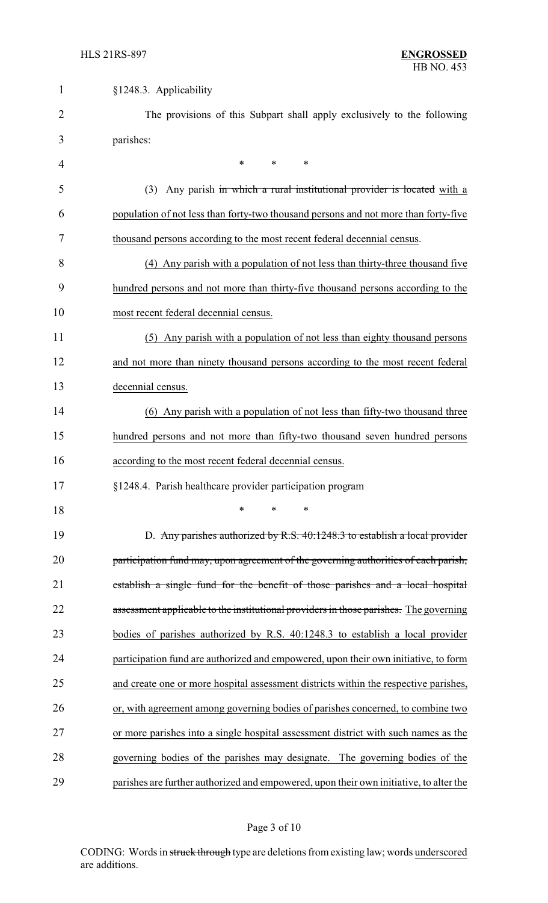| $\mathbf{1}$   | §1248.3. Applicability                                                                 |  |
|----------------|----------------------------------------------------------------------------------------|--|
| $\overline{2}$ | The provisions of this Subpart shall apply exclusively to the following                |  |
| 3              | parishes:                                                                              |  |
| 4              | $\ast$<br>$\ast$<br>*                                                                  |  |
| 5              | Any parish in which a rural institutional provider is located with a<br>(3)            |  |
| 6              | population of not less than forty-two thousand persons and not more than forty-five    |  |
| 7              | thousand persons according to the most recent federal decennial census.                |  |
| 8              | (4) Any parish with a population of not less than thirty-three thousand five           |  |
| 9              | hundred persons and not more than thirty-five thousand persons according to the        |  |
| 10             | most recent federal decennial census.                                                  |  |
| 11             | (5) Any parish with a population of not less than eighty thousand persons              |  |
| 12             | and not more than ninety thousand persons according to the most recent federal         |  |
| 13             | decennial census.                                                                      |  |
| 14             | (6) Any parish with a population of not less than fifty-two thousand three             |  |
| 15             | hundred persons and not more than fifty-two thousand seven hundred persons             |  |
| 16             | according to the most recent federal decennial census.                                 |  |
| 17             | §1248.4. Parish healthcare provider participation program                              |  |
| 18             | *<br>*                                                                                 |  |
| 19             | D. Any parishes authorized by R.S. 40:1248.3 to establish a local provider             |  |
| 20             | participation fund may, upon agreement of the governing authorities of each parish,    |  |
| 21             | establish a single fund for the benefit of those parishes and a local hospital         |  |
| 22             | assessment applicable to the institutional providers in those parishes. The governing  |  |
| 23             | bodies of parishes authorized by R.S. 40:1248.3 to establish a local provider          |  |
| 24             | participation fund are authorized and empowered, upon their own initiative, to form    |  |
| 25             | and create one or more hospital assessment districts within the respective parishes,   |  |
| 26             | or, with agreement among governing bodies of parishes concerned, to combine two        |  |
| 27             | or more parishes into a single hospital assessment district with such names as the     |  |
| 28             | governing bodies of the parishes may designate. The governing bodies of the            |  |
| 29             | parishes are further authorized and empowered, upon their own initiative, to alter the |  |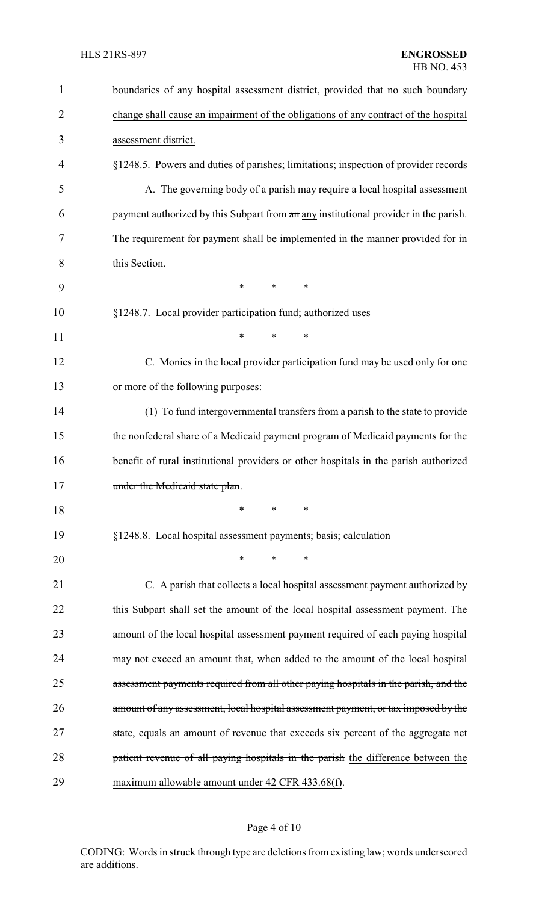| $\mathbf{1}$   | boundaries of any hospital assessment district, provided that no such boundary       |  |  |
|----------------|--------------------------------------------------------------------------------------|--|--|
| $\overline{2}$ | change shall cause an impairment of the obligations of any contract of the hospital  |  |  |
| 3              | assessment district.                                                                 |  |  |
| 4              | §1248.5. Powers and duties of parishes; limitations; inspection of provider records  |  |  |
| 5              | A. The governing body of a parish may require a local hospital assessment            |  |  |
| 6              | payment authorized by this Subpart from an any institutional provider in the parish. |  |  |
| 7              | The requirement for payment shall be implemented in the manner provided for in       |  |  |
| 8              | this Section.                                                                        |  |  |
| 9              | $\ast$<br>*<br>*                                                                     |  |  |
| 10             | §1248.7. Local provider participation fund; authorized uses                          |  |  |
| 11             | *<br>$\ast$<br>*                                                                     |  |  |
| 12             | C. Monies in the local provider participation fund may be used only for one          |  |  |
| 13             | or more of the following purposes:                                                   |  |  |
| 14             | (1) To fund intergovernmental transfers from a parish to the state to provide        |  |  |
| 15             | the nonfederal share of a Medicaid payment program of Medicaid payments for the      |  |  |
| 16             | benefit of rural institutional providers or other hospitals in the parish authorized |  |  |
| 17             | under the Medicaid state plan.                                                       |  |  |
| 18             | $\ast$<br>∗<br>*                                                                     |  |  |
| 19             | §1248.8. Local hospital assessment payments; basis; calculation                      |  |  |
| 20             | $\ast$<br>∗<br>∗                                                                     |  |  |
| 21             | C. A parish that collects a local hospital assessment payment authorized by          |  |  |
| 22             | this Subpart shall set the amount of the local hospital assessment payment. The      |  |  |
| 23             | amount of the local hospital assessment payment required of each paying hospital     |  |  |
| 24             | may not exceed an amount that, when added to the amount of the local hospital        |  |  |
| 25             | assessment payments required from all other paying hospitals in the parish, and the  |  |  |
| 26             | amount of any assessment, local hospital assessment payment, or tax imposed by the   |  |  |
| 27             | state, equals an amount of revenue that exceeds six percent of the aggregate net     |  |  |
| 28             | patient revenue of all paying hospitals in the parish the difference between the     |  |  |
| 29             | maximum allowable amount under 42 CFR 433.68(f).                                     |  |  |

# Page 4 of 10

CODING: Words in struck through type are deletions from existing law; words underscored are additions.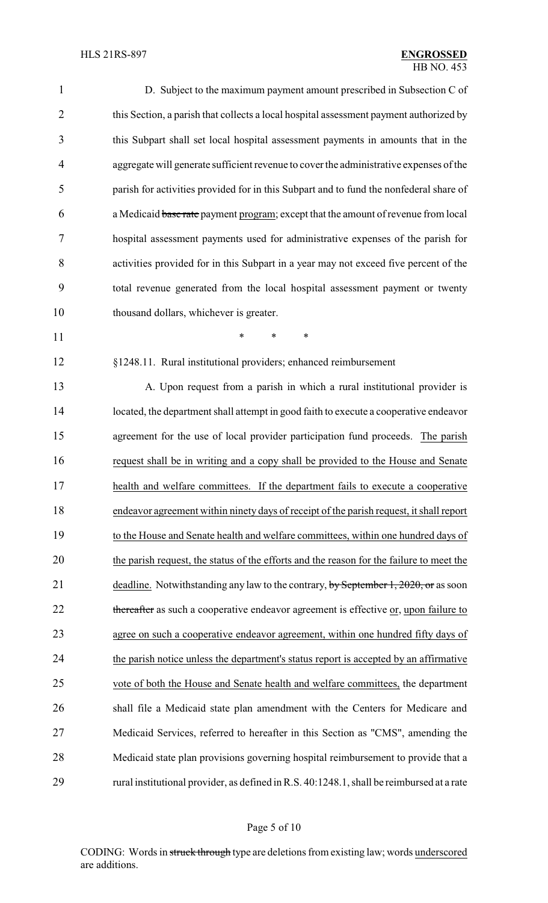| $\mathbf{1}$   | D. Subject to the maximum payment amount prescribed in Subsection C of                    |
|----------------|-------------------------------------------------------------------------------------------|
| $\overline{2}$ | this Section, a parish that collects a local hospital assessment payment authorized by    |
| 3              | this Subpart shall set local hospital assessment payments in amounts that in the          |
| $\overline{4}$ | aggregate will generate sufficient revenue to cover the administrative expenses of the    |
| 5              | parish for activities provided for in this Subpart and to fund the nonfederal share of    |
| 6              | a Medicaid base rate payment program; except that the amount of revenue from local        |
| 7              | hospital assessment payments used for administrative expenses of the parish for           |
| 8              | activities provided for in this Subpart in a year may not exceed five percent of the      |
| 9              | total revenue generated from the local hospital assessment payment or twenty              |
| 10             | thousand dollars, whichever is greater.                                                   |
| 11             | *<br>∗<br>$\ast$                                                                          |
| 12             | §1248.11. Rural institutional providers; enhanced reimbursement                           |
| 13             | A. Upon request from a parish in which a rural institutional provider is                  |
| 14             | located, the department shall attempt in good faith to execute a cooperative endeavor     |
| 15             | agreement for the use of local provider participation fund proceeds. The parish           |
| 16             | request shall be in writing and a copy shall be provided to the House and Senate          |
| 17             | health and welfare committees. If the department fails to execute a cooperative           |
| 18             | endeavor agreement within ninety days of receipt of the parish request, it shall report   |
| 19             | to the House and Senate health and welfare committees, within one hundred days of         |
| 20             | the parish request, the status of the efforts and the reason for the failure to meet the  |
| 21             | deadline. Notwithstanding any law to the contrary, by September 1, 2020, or as soon       |
| 22             | thereafter as such a cooperative endeavor agreement is effective or, upon failure to      |
| 23             | agree on such a cooperative endeavor agreement, within one hundred fifty days of          |
| 24             | the parish notice unless the department's status report is accepted by an affirmative     |
| 25             | vote of both the House and Senate health and welfare committees, the department           |
| 26             | shall file a Medicaid state plan amendment with the Centers for Medicare and              |
| 27             | Medicaid Services, referred to hereafter in this Section as "CMS", amending the           |
| 28             | Medicaid state plan provisions governing hospital reimbursement to provide that a         |
| 29             | rural institutional provider, as defined in R.S. 40:1248.1, shall be reimbursed at a rate |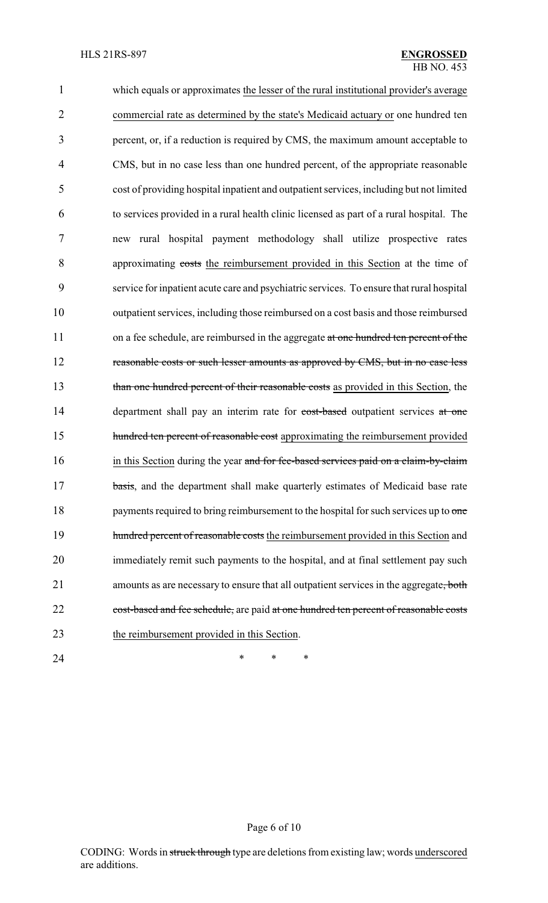1 which equals or approximates the lesser of the rural institutional provider's average 2 commercial rate as determined by the state's Medicaid actuary or one hundred ten 3 percent, or, if a reduction is required by CMS, the maximum amount acceptable to 4 CMS, but in no case less than one hundred percent, of the appropriate reasonable 5 cost of providing hospital inpatient and outpatient services, including but not limited 6 to services provided in a rural health clinic licensed as part of a rural hospital. The 7 new rural hospital payment methodology shall utilize prospective rates 8 approximating costs the reimbursement provided in this Section at the time of 9 service for inpatient acute care and psychiatric services. To ensure that rural hospital 10 outpatient services, including those reimbursed on a cost basis and those reimbursed 11 on a fee schedule, are reimbursed in the aggregate at one hundred ten percent of the 12 reasonable costs or such lesser amounts as approved by CMS, but in no case less 13 than one hundred percent of their reasonable costs as provided in this Section, the 14 department shall pay an interim rate for cost-based outpatient services at one 15 hundred ten percent of reasonable cost approximating the reimbursement provided 16 in this Section during the year and for fee-based services paid on a claim-by-claim 17 basis, and the department shall make quarterly estimates of Medicaid base rate 18 payments required to bring reimbursement to the hospital for such services up to one 19 hundred percent of reasonable costs the reimbursement provided in this Section and 20 immediately remit such payments to the hospital, and at final settlement pay such 21 amounts as are necessary to ensure that all outpatient services in the aggregate, both 22 cost-based and fee schedule, are paid at one hundred ten percent of reasonable costs 23 the reimbursement provided in this Section.

24 **\*** \* \* \*

## CODING: Words in struck through type are deletions from existing law; words underscored are additions.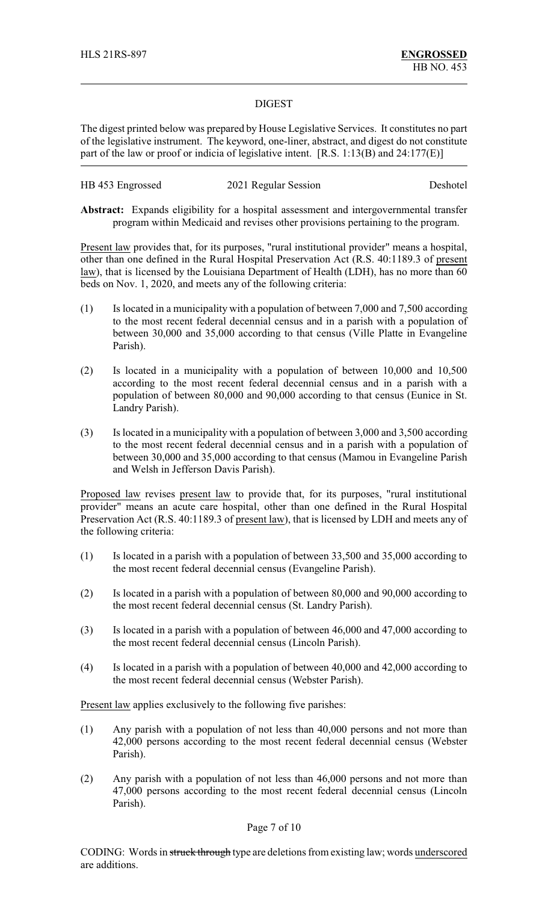### DIGEST

The digest printed below was prepared by House Legislative Services. It constitutes no part of the legislative instrument. The keyword, one-liner, abstract, and digest do not constitute part of the law or proof or indicia of legislative intent. [R.S. 1:13(B) and 24:177(E)]

| HB 453 Engrossed | 2021 Regular Session | Deshotel |
|------------------|----------------------|----------|
|------------------|----------------------|----------|

**Abstract:** Expands eligibility for a hospital assessment and intergovernmental transfer program within Medicaid and revises other provisions pertaining to the program.

Present law provides that, for its purposes, "rural institutional provider" means a hospital, other than one defined in the Rural Hospital Preservation Act (R.S. 40:1189.3 of present law), that is licensed by the Louisiana Department of Health (LDH), has no more than 60 beds on Nov. 1, 2020, and meets any of the following criteria:

- (1) Is located in a municipality with a population of between 7,000 and 7,500 according to the most recent federal decennial census and in a parish with a population of between 30,000 and 35,000 according to that census (Ville Platte in Evangeline Parish).
- (2) Is located in a municipality with a population of between 10,000 and 10,500 according to the most recent federal decennial census and in a parish with a population of between 80,000 and 90,000 according to that census (Eunice in St. Landry Parish).
- (3) Is located in a municipality with a population of between 3,000 and 3,500 according to the most recent federal decennial census and in a parish with a population of between 30,000 and 35,000 according to that census (Mamou in Evangeline Parish and Welsh in Jefferson Davis Parish).

Proposed law revises present law to provide that, for its purposes, "rural institutional provider" means an acute care hospital, other than one defined in the Rural Hospital Preservation Act (R.S. 40:1189.3 of present law), that is licensed by LDH and meets any of the following criteria:

- (1) Is located in a parish with a population of between 33,500 and 35,000 according to the most recent federal decennial census (Evangeline Parish).
- (2) Is located in a parish with a population of between 80,000 and 90,000 according to the most recent federal decennial census (St. Landry Parish).
- (3) Is located in a parish with a population of between 46,000 and 47,000 according to the most recent federal decennial census (Lincoln Parish).
- (4) Is located in a parish with a population of between 40,000 and 42,000 according to the most recent federal decennial census (Webster Parish).

Present law applies exclusively to the following five parishes:

- (1) Any parish with a population of not less than 40,000 persons and not more than 42,000 persons according to the most recent federal decennial census (Webster Parish).
- (2) Any parish with a population of not less than 46,000 persons and not more than 47,000 persons according to the most recent federal decennial census (Lincoln Parish).

### Page 7 of 10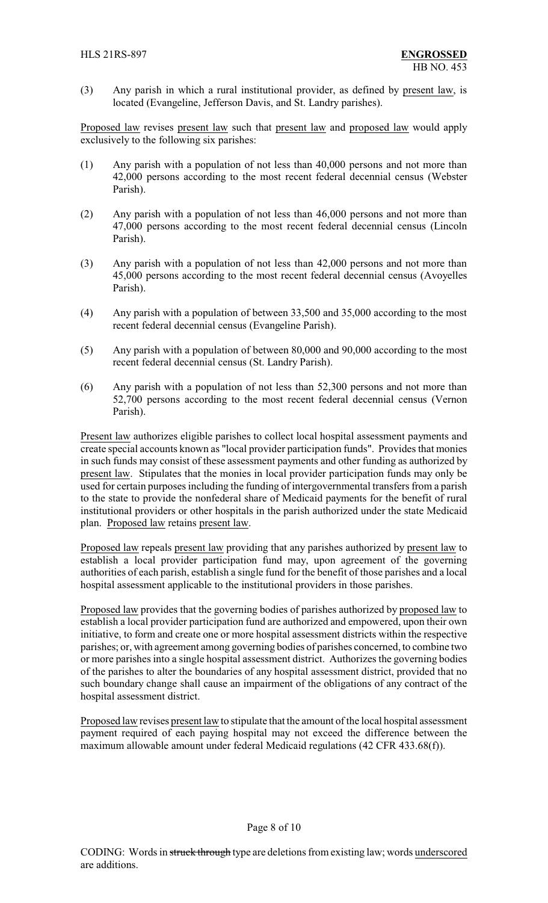(3) Any parish in which a rural institutional provider, as defined by present law, is located (Evangeline, Jefferson Davis, and St. Landry parishes).

Proposed law revises present law such that present law and proposed law would apply exclusively to the following six parishes:

- (1) Any parish with a population of not less than 40,000 persons and not more than 42,000 persons according to the most recent federal decennial census (Webster Parish).
- (2) Any parish with a population of not less than 46,000 persons and not more than 47,000 persons according to the most recent federal decennial census (Lincoln Parish).
- (3) Any parish with a population of not less than 42,000 persons and not more than 45,000 persons according to the most recent federal decennial census (Avoyelles Parish).
- (4) Any parish with a population of between 33,500 and 35,000 according to the most recent federal decennial census (Evangeline Parish).
- (5) Any parish with a population of between 80,000 and 90,000 according to the most recent federal decennial census (St. Landry Parish).
- (6) Any parish with a population of not less than 52,300 persons and not more than 52,700 persons according to the most recent federal decennial census (Vernon Parish).

Present law authorizes eligible parishes to collect local hospital assessment payments and create special accounts known as "local provider participation funds". Provides that monies in such funds may consist of these assessment payments and other funding as authorized by present law. Stipulates that the monies in local provider participation funds may only be used for certain purposes including the funding of intergovernmental transfers from a parish to the state to provide the nonfederal share of Medicaid payments for the benefit of rural institutional providers or other hospitals in the parish authorized under the state Medicaid plan. Proposed law retains present law.

Proposed law repeals present law providing that any parishes authorized by present law to establish a local provider participation fund may, upon agreement of the governing authorities of each parish, establish a single fund for the benefit of those parishes and a local hospital assessment applicable to the institutional providers in those parishes.

Proposed law provides that the governing bodies of parishes authorized by proposed law to establish a local provider participation fund are authorized and empowered, upon their own initiative, to form and create one or more hospital assessment districts within the respective parishes; or, with agreement among governing bodies of parishes concerned, to combine two or more parishes into a single hospital assessment district. Authorizes the governing bodies of the parishes to alter the boundaries of any hospital assessment district, provided that no such boundary change shall cause an impairment of the obligations of any contract of the hospital assessment district.

Proposed law revises present law to stipulate that the amount of the local hospital assessment payment required of each paying hospital may not exceed the difference between the maximum allowable amount under federal Medicaid regulations (42 CFR 433.68(f)).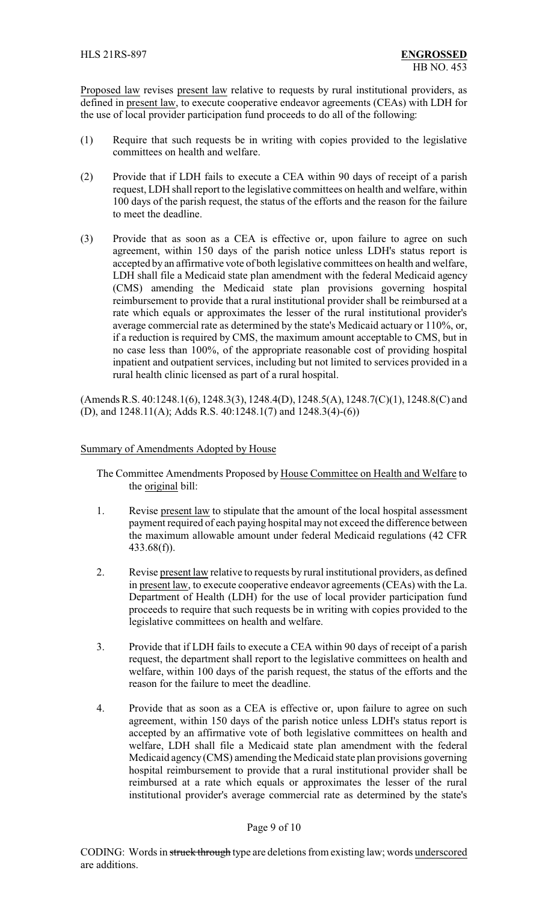Proposed law revises present law relative to requests by rural institutional providers, as defined in present law, to execute cooperative endeavor agreements (CEAs) with LDH for the use of local provider participation fund proceeds to do all of the following:

- (1) Require that such requests be in writing with copies provided to the legislative committees on health and welfare.
- (2) Provide that if LDH fails to execute a CEA within 90 days of receipt of a parish request, LDH shall report to the legislative committees on health and welfare, within 100 days of the parish request, the status of the efforts and the reason for the failure to meet the deadline.
- (3) Provide that as soon as a CEA is effective or, upon failure to agree on such agreement, within 150 days of the parish notice unless LDH's status report is accepted by an affirmative vote of both legislative committees on health and welfare, LDH shall file a Medicaid state plan amendment with the federal Medicaid agency (CMS) amending the Medicaid state plan provisions governing hospital reimbursement to provide that a rural institutional provider shall be reimbursed at a rate which equals or approximates the lesser of the rural institutional provider's average commercial rate as determined by the state's Medicaid actuary or 110%, or, if a reduction is required by CMS, the maximum amount acceptable to CMS, but in no case less than 100%, of the appropriate reasonable cost of providing hospital inpatient and outpatient services, including but not limited to services provided in a rural health clinic licensed as part of a rural hospital.

(Amends R.S. 40:1248.1(6), 1248.3(3), 1248.4(D), 1248.5(A), 1248.7(C)(1), 1248.8(C) and (D), and 1248.11(A); Adds R.S. 40:1248.1(7) and 1248.3(4)-(6))

### Summary of Amendments Adopted by House

The Committee Amendments Proposed by House Committee on Health and Welfare to the original bill:

- 1. Revise present law to stipulate that the amount of the local hospital assessment payment required of each paying hospital may not exceed the difference between the maximum allowable amount under federal Medicaid regulations (42 CFR 433.68(f)).
- 2. Revise present law relative to requests by rural institutional providers, as defined in present law, to execute cooperative endeavor agreements (CEAs) with the La. Department of Health (LDH) for the use of local provider participation fund proceeds to require that such requests be in writing with copies provided to the legislative committees on health and welfare.
- 3. Provide that if LDH fails to execute a CEA within 90 days of receipt of a parish request, the department shall report to the legislative committees on health and welfare, within 100 days of the parish request, the status of the efforts and the reason for the failure to meet the deadline.
- 4. Provide that as soon as a CEA is effective or, upon failure to agree on such agreement, within 150 days of the parish notice unless LDH's status report is accepted by an affirmative vote of both legislative committees on health and welfare, LDH shall file a Medicaid state plan amendment with the federal Medicaid agency (CMS) amending the Medicaid state plan provisions governing hospital reimbursement to provide that a rural institutional provider shall be reimbursed at a rate which equals or approximates the lesser of the rural institutional provider's average commercial rate as determined by the state's

### Page 9 of 10